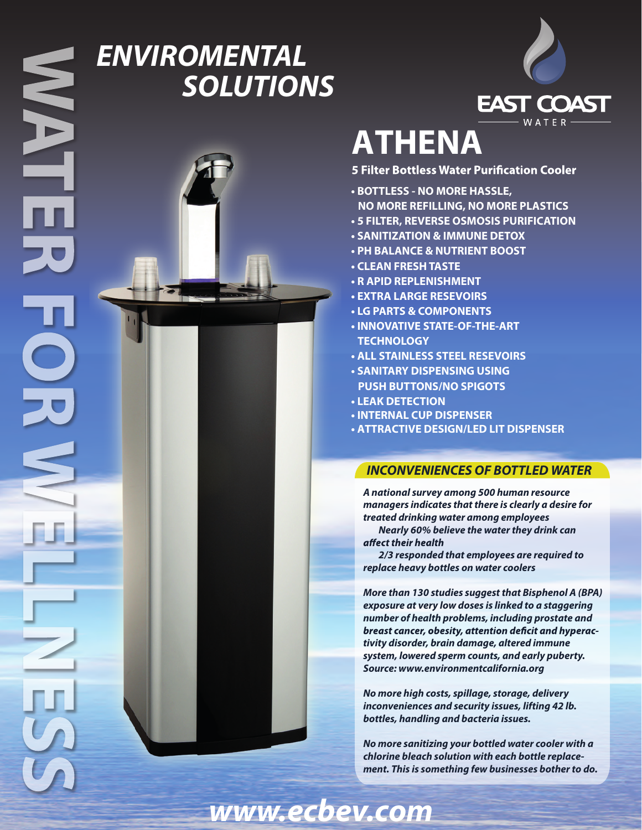# *ENVIROMENTAL SOLUTIONS*



# **ATHENA**

- **5 Filter Bottless Water Purification Cooler**
- **BOTTLESS NO MORE HASSLE,**
- **NO MORE REFILLING, NO MORE PLASTICS**
- **5 FILTER, REVERSE OSMOSIS PURIFICATION**
- **SANITIZATION & IMMUNE DETOX**
- **PH BALANCE & NUTRIENT BOOST**
- **CLEAN FRESHTASTE**
- **R APID REPLENISHMENT**
- **EXTRA LARGE RESEVOIRS**
- **LG PARTS & COMPONENTS**
- **INNOVATIVE STATE-OF-THE-ART TECHNOLOGY**
- **ALL STAINLESS STEEL RESEVOIRS**
- **SANITARY DISPENSING USING PUSH BUTTONS/NO SPIGOTS**
- **LEAK D ETECTION**
- **INTERNAL CUP DISPENSER**
- **ATTRACTIVE DESIGN/LED LIT DISPENSER**

### *INCONVENIENCES OF BOTTLED WATER*

*A national survey among 500 human resource managers indicates that there is clearly a desire for treated drinking water among employees*

 *Nearly 60% believe the water they drink can*  affect their health

 *2/3 responded that employees are required to replace heavy bottles on water coolers*

*More than 130 studies suggest that Bisphenol A (BPA) exposure at very low doses is linked to a staggering number of health problems, including prostate and*  **breast cancer, obesity, attention deficit and hyperac***tivity disorder, brain damage, altered immune system, lowered sperm counts, and early puberty. Source: www.environmentcalifornia.org*

*No more high costs, spillage, storage, delivery inconveniences and security issues, lifting 42 lb. bottles, handling and bacteria issues.*

*No more sanitizing your bottled water cooler with a chlorine bleach solution with each bottle replacement. This is something few businesses bother to do.*

*www.ecbev.com*